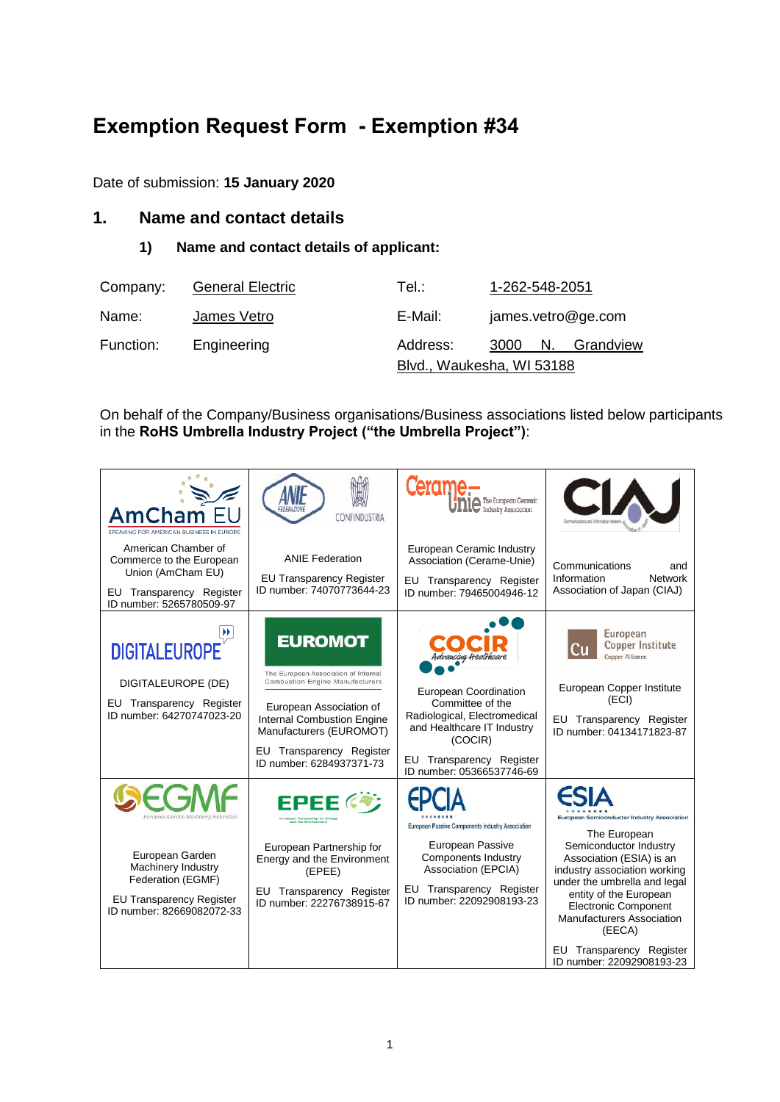# **Exemption Request Form - Exemption #34**

Date of submission: **15 January 2020**

## **1. Name and contact details**

**1) Name and contact details of applicant:**

| Company:  | <b>General Electric</b> | Tel∴                      | 1-262-548-2051 |    |                    |
|-----------|-------------------------|---------------------------|----------------|----|--------------------|
| Name:     | James Vetro             | E-Mail:                   |                |    | james.vetro@ge.com |
| Function: | Engineering             | Address:                  | 3000           | N. | Grandview          |
|           |                         | Blvd., Waukesha, WI 53188 |                |    |                    |

On behalf of the Company/Business organisations/Business associations listed below participants in the **RoHS Umbrella Industry Project ("the Umbrella Project")**:

| AmChan<br>SPEAKING FOR AMERICAN BUSINESS IN EUROPE                                                                                                            | CONFINDUSTRIA                                                                                                                                                                                                                                | Ceram<br>The European Ceramic<br>Industry Association                                                                                                                                               |                                                                                                                                                                                                                                                                                                                                                   |
|---------------------------------------------------------------------------------------------------------------------------------------------------------------|----------------------------------------------------------------------------------------------------------------------------------------------------------------------------------------------------------------------------------------------|-----------------------------------------------------------------------------------------------------------------------------------------------------------------------------------------------------|---------------------------------------------------------------------------------------------------------------------------------------------------------------------------------------------------------------------------------------------------------------------------------------------------------------------------------------------------|
| American Chamber of<br>Commerce to the European<br>Union (AmCham EU)<br>EU Transparency Register<br>ID number: 5265780509-97                                  | <b>ANIE Federation</b><br><b>EU Transparency Register</b><br>ID number: 74070773644-23                                                                                                                                                       | European Ceramic Industry<br>Association (Cerame-Unie)<br>EU Transparency Register<br>ID number: 79465004946-12                                                                                     | Communications<br>and<br>Information<br><b>Network</b><br>Association of Japan (CIAJ)                                                                                                                                                                                                                                                             |
| <b>DIGITALEUROPE</b><br>DIGITALEUROPE (DE)<br>EU Transparency Register<br>ID number: 64270747023-20                                                           | <b>EUROMOT</b><br>The European Association of Internal<br>Combustion Engine Manufacturers<br>European Association of<br><b>Internal Combustion Engine</b><br>Manufacturers (EUROMOT)<br>EU Transparency Register<br>ID number: 6284937371-73 | Advauciug Healthcare<br>European Coordination<br>Committee of the<br>Radiological, Electromedical<br>and Healthcare IT Industry<br>(COCIR)<br>EU Transparency Register<br>ID number: 05366537746-69 | European<br><b>Copper Institute</b><br><b>Copper Alliance</b><br>European Copper Institute<br>(ECI)<br>EU Transparency Register<br>ID number: 04134171823-87                                                                                                                                                                                      |
| monean Garden Machineru Federat<br>European Garden<br>Machinery Industry<br>Federation (EGMF)<br><b>EU Transparency Register</b><br>ID number: 82669082072-33 | EPEE <sup>(**)</sup><br>European Partnership for<br>Energy and the Environment<br>(EPEE)<br>EU Transparency Register<br>ID number: 22276738915-67                                                                                            | European Passive Components Industry Association<br>European Passive<br><b>Components Industry</b><br>Association (EPCIA)<br>EU Transparency Register<br>ID number: 22092908193-23                  | European Semiconductor Industry Association<br>The European<br>Semiconductor Industry<br>Association (ESIA) is an<br>industry association working<br>under the umbrella and legal<br>entity of the European<br><b>Electronic Component</b><br><b>Manufacturers Association</b><br>(EECA)<br>EU Transparency Register<br>ID number: 22092908193-23 |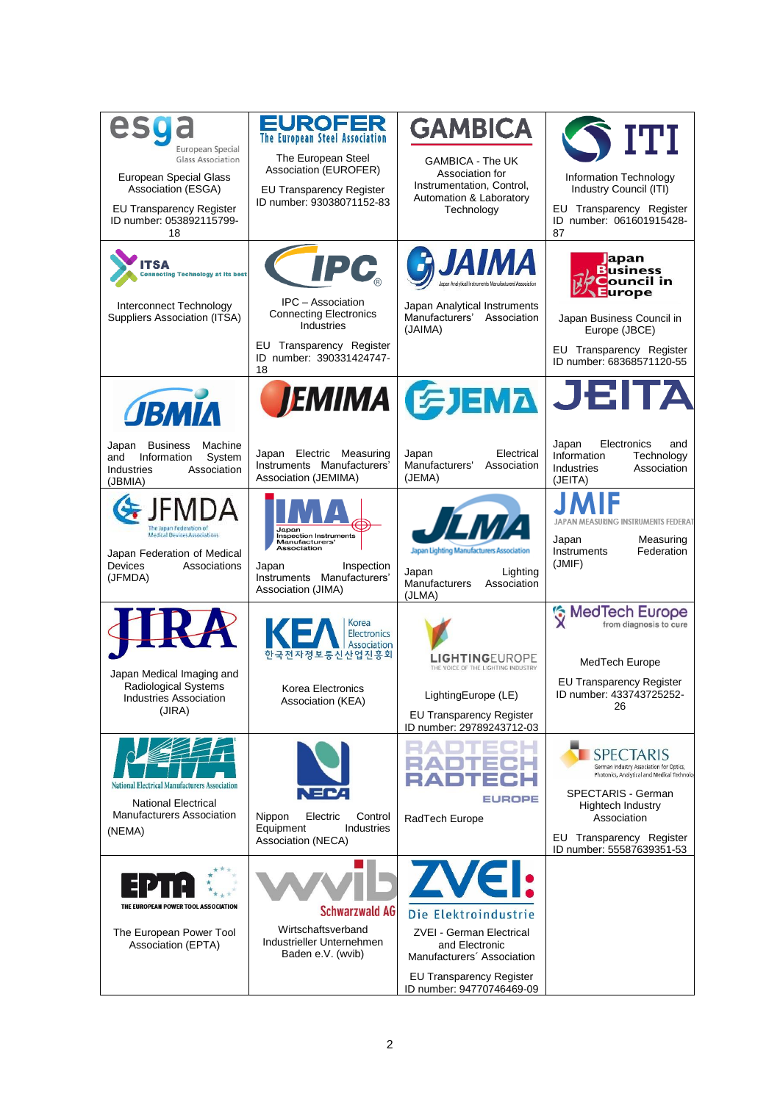| European Special<br><b>Glass Association</b><br><b>European Special Glass</b><br>Association (ESGA)<br><b>EU Transparency Register</b><br>ID number: 053892115799-<br>18 | <b>EUROFER</b><br><b>The European Steel Association</b><br>The European Steel<br>Association (EUROFER)<br><b>EU Transparency Register</b><br>ID number: 93038071152-83 | <b>GAMBICA</b><br><b>GAMBICA - The UK</b><br>Association for<br>Instrumentation, Control,<br>Automation & Laboratory<br>Technology                                               | i ITI<br>Information Technology<br>Industry Council (ITI)<br>EU Transparency Register<br>ID number: 061601915428-<br>87                                                                                                              |
|--------------------------------------------------------------------------------------------------------------------------------------------------------------------------|------------------------------------------------------------------------------------------------------------------------------------------------------------------------|----------------------------------------------------------------------------------------------------------------------------------------------------------------------------------|--------------------------------------------------------------------------------------------------------------------------------------------------------------------------------------------------------------------------------------|
| TSA<br><b>Connecting Technology at its best</b><br>Interconnect Technology<br>Suppliers Association (ITSA)                                                               | <b>TIPC</b><br><b>IPC</b> – Association<br><b>Connecting Electronics</b><br>Industries<br>Transparency Register<br>EU<br>ID number: 390331424747-<br>18                | <b>BJAIMA</b><br>Japan Analytical Instruments<br>Manufacturers'<br>Association<br>(JAIMA)                                                                                        | apan<br><b>Business</b><br>ouncil in<br>urope<br>Japan Business Council in<br>Europe (JBCE)<br>EU Transparency Register<br>ID number: 68368571120-55                                                                                 |
| <b><i><u>ЛВМІА</u></i></b><br><b>Business</b><br>Machine<br>Japan<br>System<br>and<br>Information<br><b>Industries</b><br>Association<br>(JBMIA)                         | Electric Measuring<br>Japan<br>Instruments Manufacturers'<br>Association (JEMIMA)                                                                                      | Electrical<br>Japan<br>Manufacturers'<br>Association<br>(JEMA)                                                                                                                   | JEMIMA GJEMA JEITA<br>Electronics<br>Japan<br>and<br>Information<br>Technology<br><b>Industries</b><br>Association<br>(JEITA)                                                                                                        |
| he Japan Federation of<br>Medical Devices Associations<br>Japan Federation of Medical<br><b>Devices</b><br>Associations<br>(JFMDA)                                       | Inspection Instruments<br>Manufacturers'<br>Association<br>Inspection<br>Japan<br>Instruments<br>Manufacturers'<br>Association (JIMA)                                  | Japan Lighting Manufacturers Association<br>Japan<br>Lighting<br>Manufacturers<br>Association<br>(JLMA)                                                                          | JAPAN MEASURING INSTRUMENTS FEDERAT<br>Measuring<br>Japan<br>Federation<br>Instruments<br>(JMIF)                                                                                                                                     |
| Japan Medical Imaging and<br><b>Radiological Systems</b><br>Industries Association<br>(JIRA)                                                                             | Korea<br><b>Electronics</b><br>Association<br>한국전자정보통신산업진흥회<br>Korea Electronics<br>Association (KEA)                                                                  | <b>LIGHTINGEUROPE</b><br>THE VOICE OF THE LIGHTING INDUSTRY<br>LightingEurope (LE)<br><b>EU Transparency Register</b><br>ID number: 29789243712-03                               | <b>MedTech Europe</b><br>from diagnosis to cure<br>MedTech Europe<br><b>EU Transparency Register</b><br>ID number: 433743725252-<br>26                                                                                               |
| <b>National Electrical Manufacturers Association</b><br><b>National Electrical</b><br><b>Manufacturers Association</b><br>(NEMA)                                         | VECA<br>Nippon<br>Electric<br>Control<br>Equipment<br>Industries<br>Association (NECA)                                                                                 | JROPE<br>RadTech Europe                                                                                                                                                          | <b>SPECTARIS</b><br>German Industry Association for Optics,<br>Photonics, Analytical and Medical Technolog<br>SPECTARIS - German<br><b>Hightech Industry</b><br>Association<br>EU Transparency Register<br>ID number: 55587639351-53 |
| THE EUROPEAN POWER TOOL ASSOCIATION<br>The European Power Tool<br>Association (EPTA)                                                                                     | <b>Schwarzwald AG</b><br>Wirtschaftsverband<br>Industrieller Unternehmen<br>Baden e.V. (wvib)                                                                          | ZVEI:<br>Die Elektroindustrie<br><b>ZVEI - German Electrical</b><br>and Electronic<br>Manufacturers' Association<br><b>EU Transparency Register</b><br>ID number: 94770746469-09 |                                                                                                                                                                                                                                      |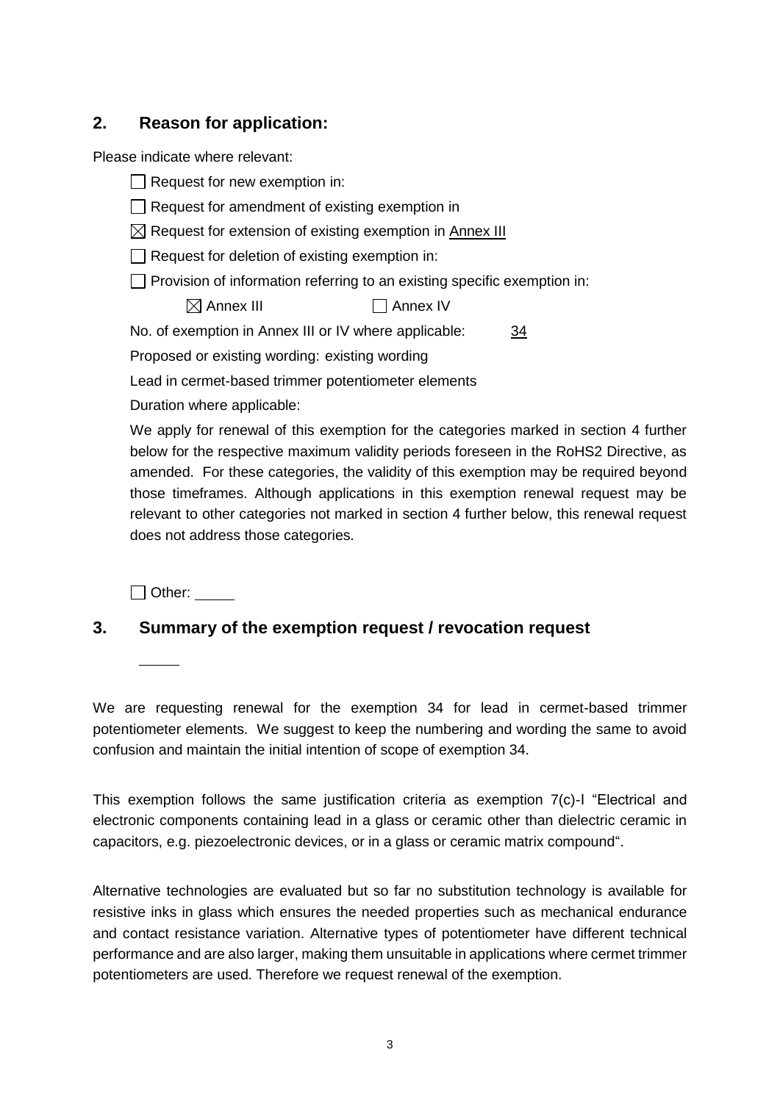# **2. Reason for application:**

Please indicate where relevant:

 $\Box$  Request for new exemption in:  $\Box$  Request for amendment of existing exemption in  $\boxtimes$  Request for extension of existing exemption in Annex III  $\Box$  Request for deletion of existing exemption in:  $\Box$  Provision of information referring to an existing specific exemption in:  $\boxtimes$  Annex III  $\Box$  Annex IV No. of exemption in Annex III or IV where applicable: 34 Proposed or existing wording: existing wording Lead in cermet-based trimmer potentiometer elements Duration where applicable: We apply for renewal of this exemption for the categories marked in section 4 further below for the respective maximum validity periods foreseen in the RoHS2 Directive, as amended. For these categories, the validity of this exemption may be required beyond those timeframes. Although applications in this exemption renewal request may be

Other: \_\_\_\_\_

does not address those categories.

## **3. Summary of the exemption request / revocation request**

We are requesting renewal for the exemption 34 for lead in cermet-based trimmer potentiometer elements. We suggest to keep the numbering and wording the same to avoid confusion and maintain the initial intention of scope of exemption 34.

relevant to other categories not marked in section 4 further below, this renewal request

This exemption follows the same justification criteria as exemption 7(c)-I "Electrical and electronic components containing lead in a glass or ceramic other than dielectric ceramic in capacitors, e.g. piezoelectronic devices, or in a glass or ceramic matrix compound".

Alternative technologies are evaluated but so far no substitution technology is available for resistive inks in glass which ensures the needed properties such as mechanical endurance and contact resistance variation. Alternative types of potentiometer have different technical performance and are also larger, making them unsuitable in applications where cermet trimmer potentiometers are used. Therefore we request renewal of the exemption.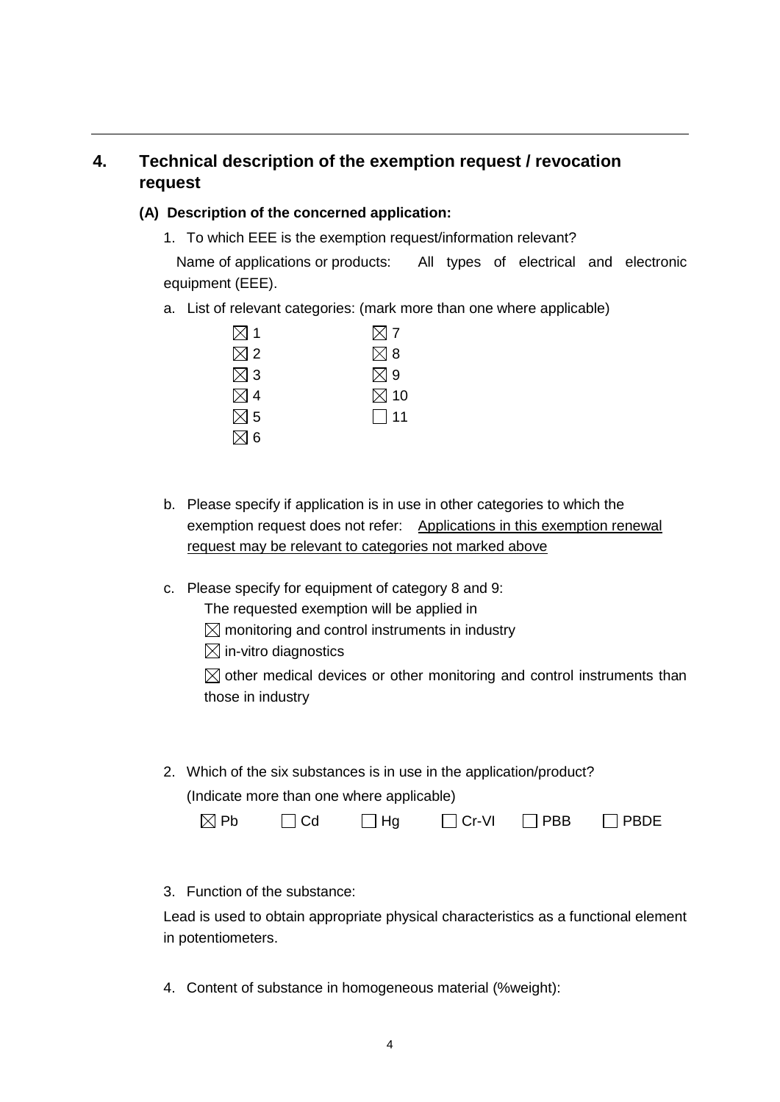# **4. Technical description of the exemption request / revocation request**

#### **(A) Description of the concerned application:**

1. To which EEE is the exemption request/information relevant?

Name of applications or products: All types of electrical and electronic equipment (EEE).

a. List of relevant categories: (mark more than one where applicable)

| $\boxtimes$ 1 | $\boxtimes$ 7  |
|---------------|----------------|
| $\boxtimes$ 2 | $\boxtimes$ 8  |
| $\boxtimes$ 3 | $\boxtimes$ 9  |
| $\boxtimes$ 4 | $\boxtimes$ 10 |
| $\boxtimes$ 5 | $\Box$ 11      |
| $\boxtimes$ 6 |                |

- b. Please specify if application is in use in other categories to which the exemption request does not refer: Applications in this exemption renewal request may be relevant to categories not marked above
- c. Please specify for equipment of category 8 and 9:
	- The requested exemption will be applied in
	- $\boxtimes$  monitoring and control instruments in industry
	- $\boxtimes$  in-vitro diagnostics

 $\boxtimes$  other medical devices or other monitoring and control instruments than those in industry

2. Which of the six substances is in use in the application/product?

| $\boxtimes$ Pb | $\sqcap$ Cd | $\Box$ Hg | $\Box$ Cr-VI | $\Box$ PBB | $\Box$ PBDE |
|----------------|-------------|-----------|--------------|------------|-------------|
|                |             |           |              |            |             |

3. Function of the substance:

Lead is used to obtain appropriate physical characteristics as a functional element in potentiometers.

4. Content of substance in homogeneous material (%weight):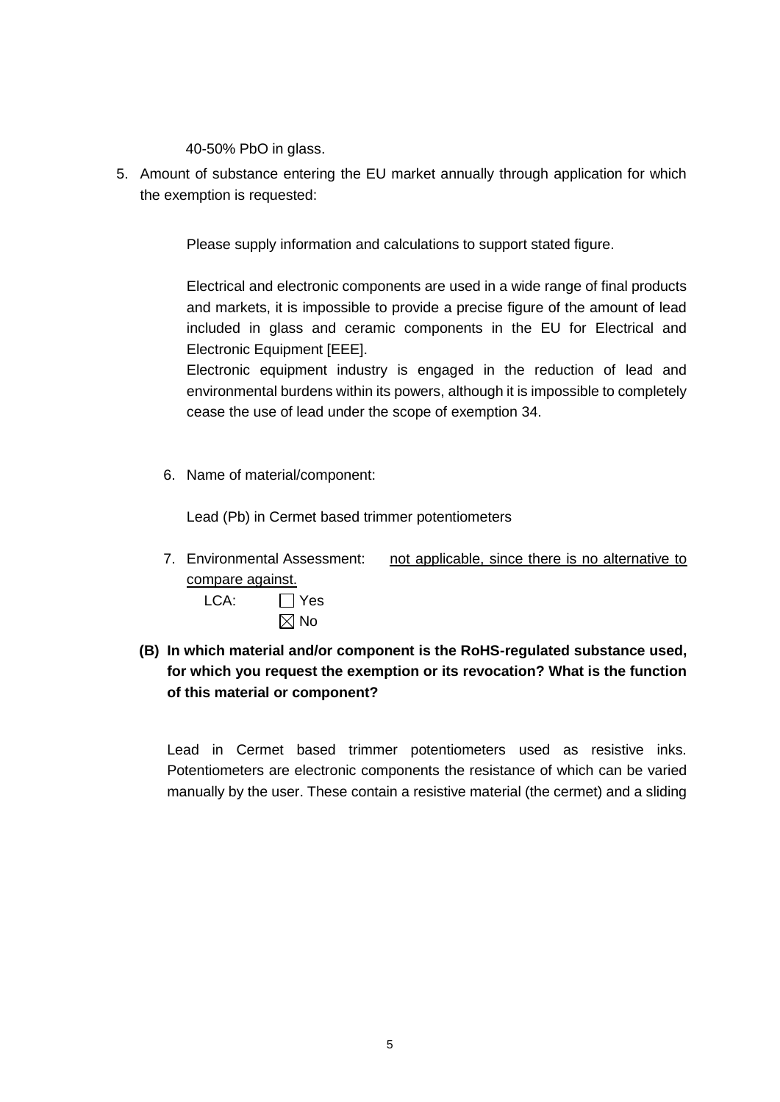40-50% PbO in glass.

5. Amount of substance entering the EU market annually through application for which the exemption is requested:

Please supply information and calculations to support stated figure.

Electrical and electronic components are used in a wide range of final products and markets, it is impossible to provide a precise figure of the amount of lead included in glass and ceramic components in the EU for Electrical and Electronic Equipment [EEE].

Electronic equipment industry is engaged in the reduction of lead and environmental burdens within its powers, although it is impossible to completely cease the use of lead under the scope of exemption 34.

6. Name of material/component:

Lead (Pb) in Cermet based trimmer potentiometers

7. Environmental Assessment: not applicable, since there is no alternative to compare against.

| LCA: | $\Box$ Yes     |
|------|----------------|
|      | $\boxtimes$ No |

**(B) In which material and/or component is the RoHS-regulated substance used, for which you request the exemption or its revocation? What is the function of this material or component?**

Lead in Cermet based trimmer potentiometers used as resistive inks. Potentiometers are electronic components the resistance of which can be varied manually by the user. These contain a resistive material (the cermet) and a sliding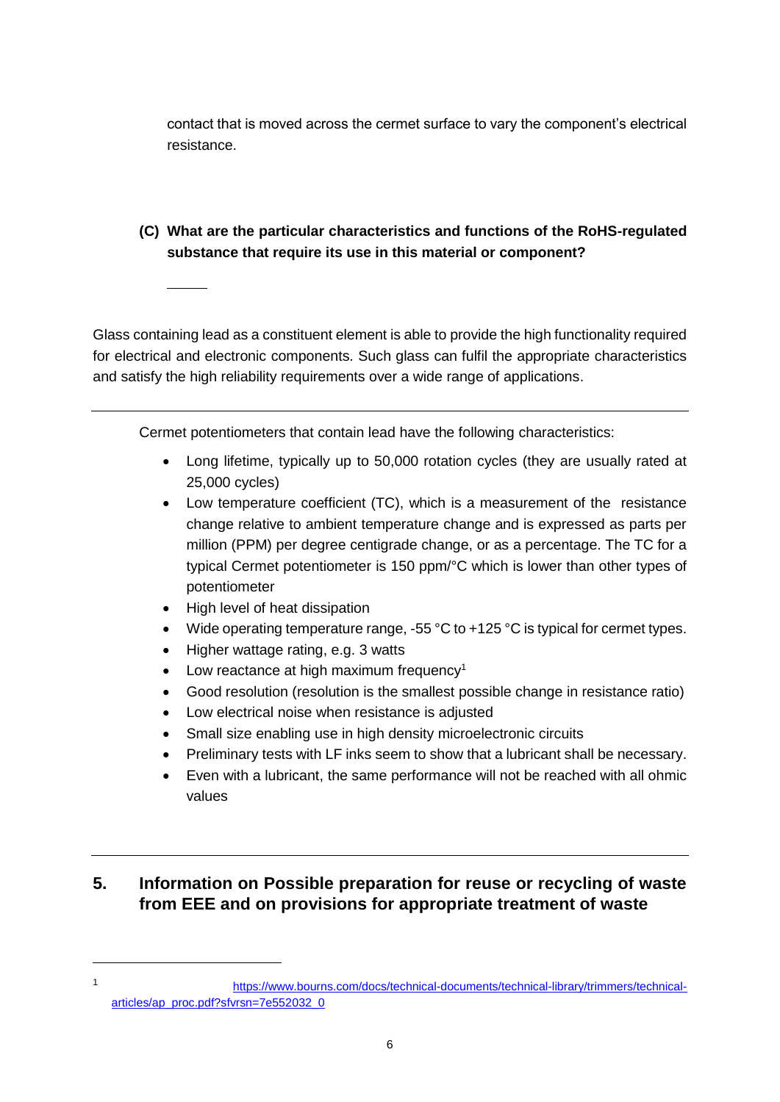contact that is moved across the cermet surface to vary the component's electrical resistance.

## **(C) What are the particular characteristics and functions of the RoHS-regulated substance that require its use in this material or component?**

Glass containing lead as a constituent element is able to provide the high functionality required for electrical and electronic components. Such glass can fulfil the appropriate characteristics and satisfy the high reliability requirements over a wide range of applications.

Cermet potentiometers that contain lead have the following characteristics:

- Long lifetime, typically up to 50,000 rotation cycles (they are usually rated at 25,000 cycles)
- Low temperature coefficient (TC), which is a measurement of the resistance change relative to ambient temperature change and is expressed as parts per million (PPM) per degree centigrade change, or as a percentage. The TC for a typical Cermet potentiometer is 150 ppm/°C which is lower than other types of potentiometer
- High level of heat dissipation

 1

- Wide operating temperature range,  $-55$  °C to  $+125$  °C is typical for cermet types.
- Higher wattage rating, e.g. 3 watts
- Low reactance at high maximum frequency<sup>1</sup>
- Good resolution (resolution is the smallest possible change in resistance ratio)
- Low electrical noise when resistance is adjusted
- Small size enabling use in high density microelectronic circuits
- Preliminary tests with LF inks seem to show that a lubricant shall be necessary.
- Even with a lubricant, the same performance will not be reached with all ohmic values

# **5. Information on Possible preparation for reuse or recycling of waste from EEE and on provisions for appropriate treatment of waste**

[https://www.bourns.com/docs/technical-documents/technical-library/trimmers/technical](https://www.bourns.com/docs/technical-documents/technical-library/trimmers/technical-articles/ap_proc.pdf?sfvrsn=7e552032_0)[articles/ap\\_proc.pdf?sfvrsn=7e552032\\_0](https://www.bourns.com/docs/technical-documents/technical-library/trimmers/technical-articles/ap_proc.pdf?sfvrsn=7e552032_0)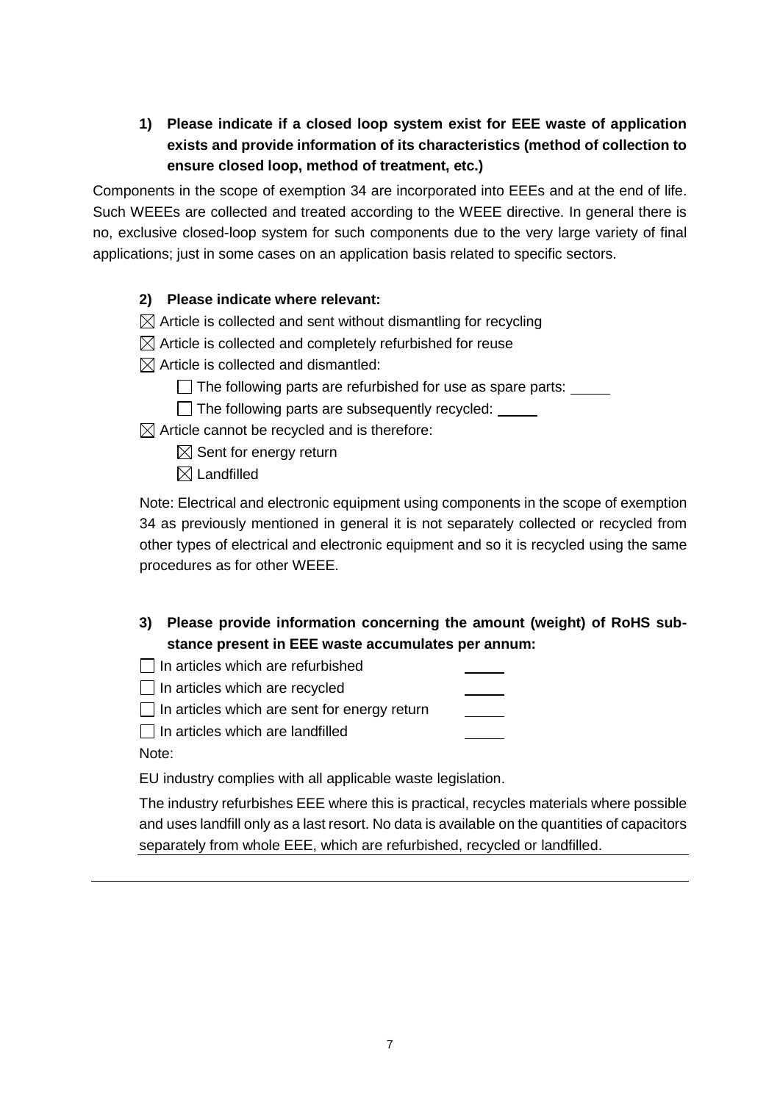**1) Please indicate if a closed loop system exist for EEE waste of application exists and provide information of its characteristics (method of collection to ensure closed loop, method of treatment, etc.)**

Components in the scope of exemption 34 are incorporated into EEEs and at the end of life. Such WEEEs are collected and treated according to the WEEE directive. In general there is no, exclusive closed-loop system for such components due to the very large variety of final applications; just in some cases on an application basis related to specific sectors.

#### **2) Please indicate where relevant:**

 $\boxtimes$  Article is collected and sent without dismantling for recycling

 $\boxtimes$  Article is collected and completely refurbished for reuse

 $\boxtimes$  Article is collected and dismantled:

- $\Box$  The following parts are refurbished for use as spare parts:
- $\Box$  The following parts are subsequently recycled:

 $\boxtimes$  Article cannot be recycled and is therefore:

 $\boxtimes$  Sent for energy return

 $\boxtimes$  Landfilled

Note: Electrical and electronic equipment using components in the scope of exemption 34 as previously mentioned in general it is not separately collected or recycled from other types of electrical and electronic equipment and so it is recycled using the same procedures as for other WEEE.

## **3) Please provide information concerning the amount (weight) of RoHS substance present in EEE waste accumulates per annum:**

 $\Box$  In articles which are refurbished

 $\Box$  In articles which are recycled

 $\Box$  In articles which are sent for energy return

 $\Box$  In articles which are landfilled

Note:

EU industry complies with all applicable waste legislation.

The industry refurbishes EEE where this is practical, recycles materials where possible and uses landfill only as a last resort. No data is available on the quantities of capacitors separately from whole EEE, which are refurbished, recycled or landfilled.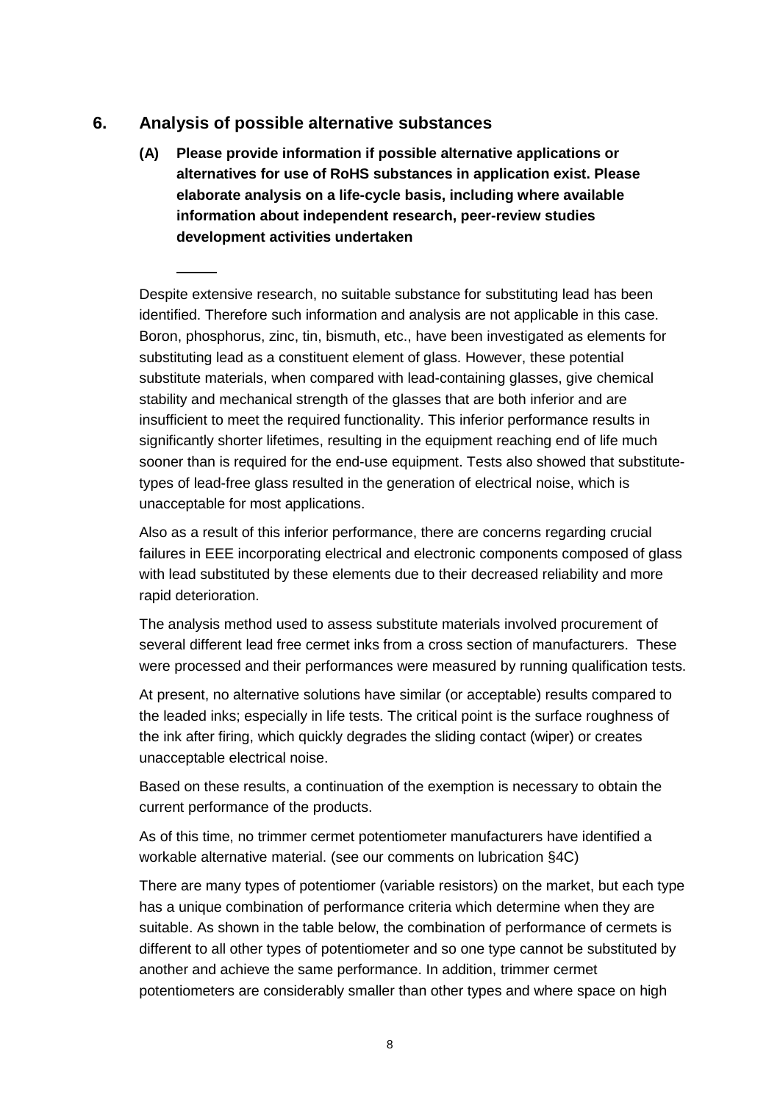## **6. Analysis of possible alternative substances**

**(A) Please provide information if possible alternative applications or alternatives for use of RoHS substances in application exist. Please elaborate analysis on a life-cycle basis, including where available information about independent research, peer-review studies development activities undertaken**

Despite extensive research, no suitable substance for substituting lead has been identified. Therefore such information and analysis are not applicable in this case. Boron, phosphorus, zinc, tin, bismuth, etc., have been investigated as elements for substituting lead as a constituent element of glass. However, these potential substitute materials, when compared with lead-containing glasses, give chemical stability and mechanical strength of the glasses that are both inferior and are insufficient to meet the required functionality. This inferior performance results in significantly shorter lifetimes, resulting in the equipment reaching end of life much sooner than is required for the end-use equipment. Tests also showed that substitutetypes of lead-free glass resulted in the generation of electrical noise, which is unacceptable for most applications.

Also as a result of this inferior performance, there are concerns regarding crucial failures in EEE incorporating electrical and electronic components composed of glass with lead substituted by these elements due to their decreased reliability and more rapid deterioration.

The analysis method used to assess substitute materials involved procurement of several different lead free cermet inks from a cross section of manufacturers. These were processed and their performances were measured by running qualification tests.

At present, no alternative solutions have similar (or acceptable) results compared to the leaded inks; especially in life tests. The critical point is the surface roughness of the ink after firing, which quickly degrades the sliding contact (wiper) or creates unacceptable electrical noise.

Based on these results, a continuation of the exemption is necessary to obtain the current performance of the products.

As of this time, no trimmer cermet potentiometer manufacturers have identified a workable alternative material. (see our comments on lubrication §4C)

There are many types of potentiomer (variable resistors) on the market, but each type has a unique combination of performance criteria which determine when they are suitable. As shown in the table below, the combination of performance of cermets is different to all other types of potentiometer and so one type cannot be substituted by another and achieve the same performance. In addition, trimmer cermet potentiometers are considerably smaller than other types and where space on high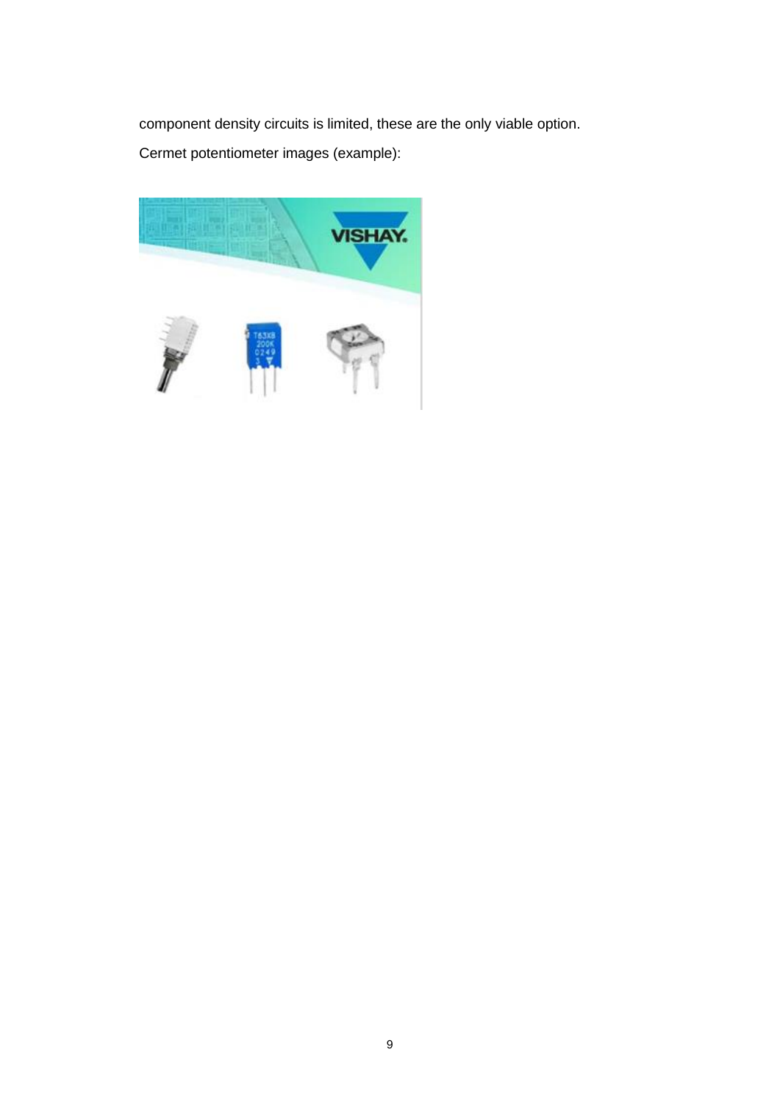component density circuits is limited, these are the only viable option. Cermet potentiometer images (example):

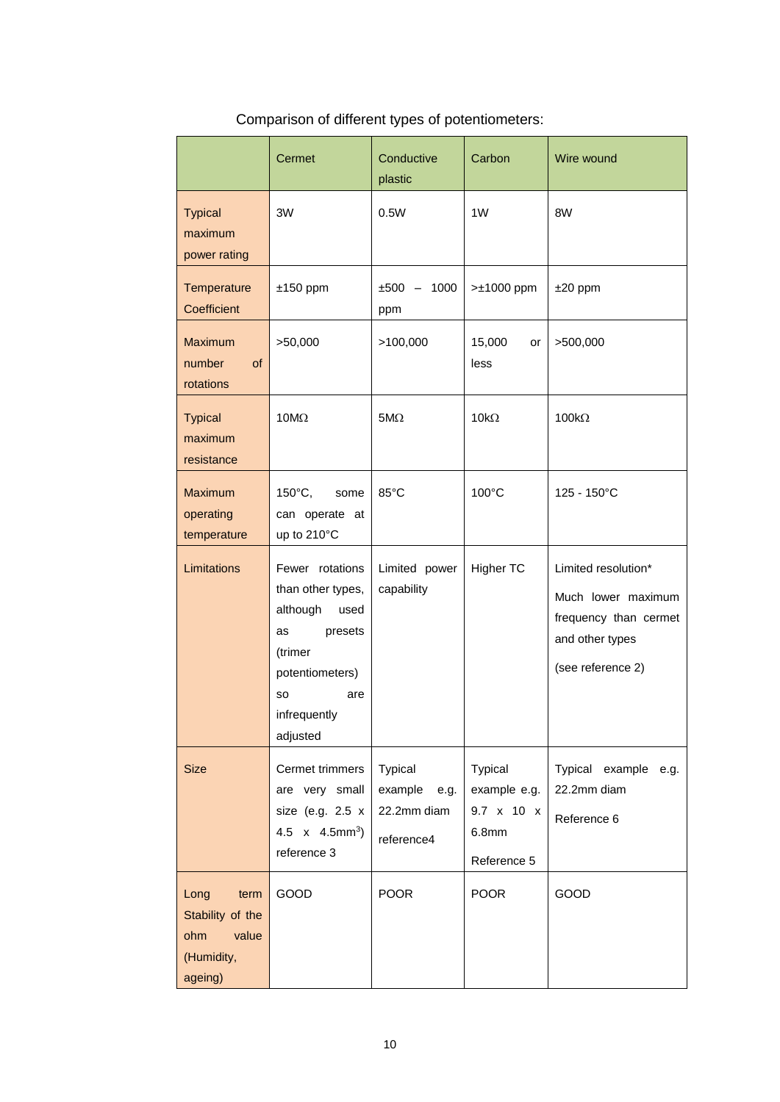|                                                                           | Cermet                                                                                                                                           | Conductive<br>plastic                                          | Carbon                                                                           | Wire wound                                                                                                 |
|---------------------------------------------------------------------------|--------------------------------------------------------------------------------------------------------------------------------------------------|----------------------------------------------------------------|----------------------------------------------------------------------------------|------------------------------------------------------------------------------------------------------------|
| <b>Typical</b><br>maximum<br>power rating                                 | 3W                                                                                                                                               | 0.5W                                                           | 1W                                                                               | 8W                                                                                                         |
| Temperature<br>Coefficient                                                | $±150$ ppm                                                                                                                                       | $±500 - 1000$<br>ppm                                           | $\geq \pm 1000$ ppm                                                              | $±20$ ppm                                                                                                  |
| <b>Maximum</b><br>number<br>of<br>rotations                               | >50,000                                                                                                                                          | >100,000                                                       | 15,000<br>or<br>less                                                             | >500,000                                                                                                   |
| <b>Typical</b><br>maximum<br>resistance                                   | $10M\Omega$                                                                                                                                      | $5M\Omega$                                                     | $10k\Omega$                                                                      | $100k\Omega$                                                                                               |
| <b>Maximum</b><br>operating<br>temperature                                | 150°C,<br>some<br>can operate at<br>up to 210°C                                                                                                  | 85°C                                                           | 100°C                                                                            | 125 - 150°C                                                                                                |
| Limitations                                                               | Fewer rotations<br>than other types,<br>although<br>used<br>presets<br>as<br>(trimer<br>potentiometers)<br>are<br>SO<br>infrequently<br>adjusted | Limited power<br>capability                                    | Higher TC                                                                        | Limited resolution*<br>Much lower maximum<br>frequency than cermet<br>and other types<br>(see reference 2) |
| <b>Size</b>                                                               | Cermet trimmers<br>are very small<br>size (e.g. 2.5 x<br>4.5 $x$ 4.5mm <sup>3</sup> )<br>reference 3                                             | <b>Typical</b><br>example<br>e.g.<br>22.2mm diam<br>reference4 | <b>Typical</b><br>example e.g.<br>9.7 x 10 x<br>6.8 <sub>mm</sub><br>Reference 5 | Typical example<br>e.g.<br>22.2mm diam<br>Reference 6                                                      |
| Long<br>term<br>Stability of the<br>ohm<br>value<br>(Humidity,<br>ageing) | GOOD                                                                                                                                             | <b>POOR</b>                                                    | <b>POOR</b>                                                                      | GOOD                                                                                                       |

# Comparison of different types of potentiometers: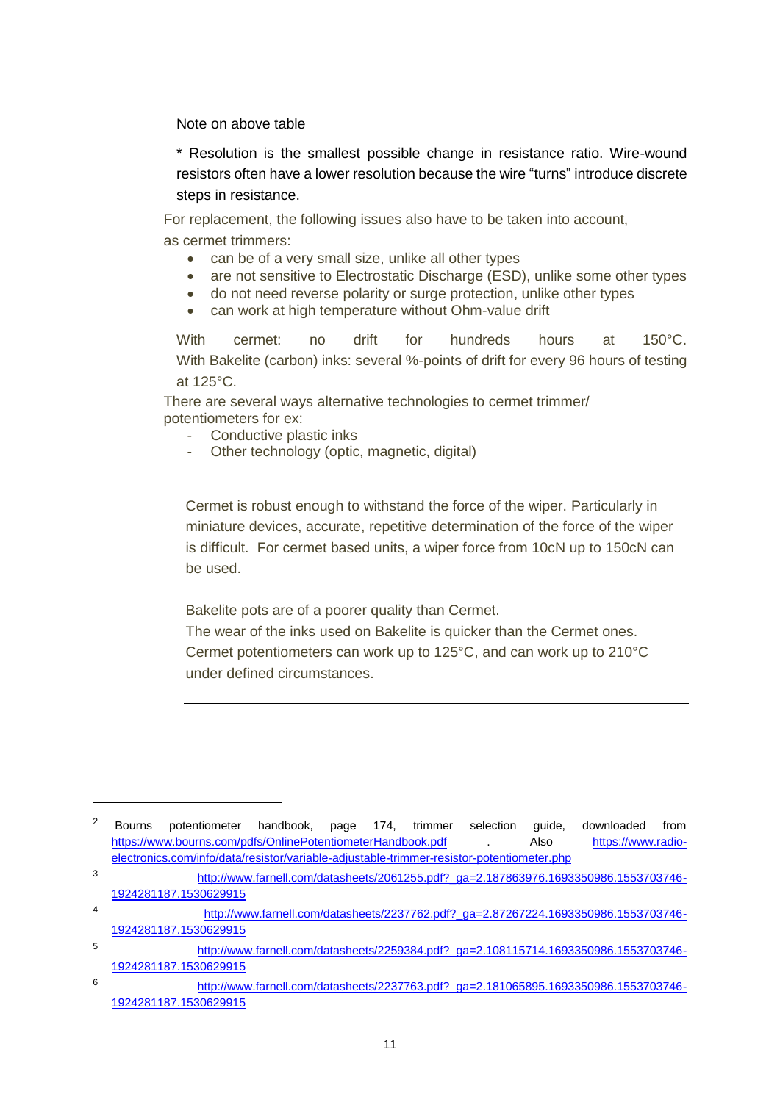Note on above table

\* Resolution is the smallest possible change in resistance ratio. Wire-wound resistors often have a lower resolution because the wire "turns" introduce discrete steps in resistance.

For replacement, the following issues also have to be taken into account, as cermet trimmers:

- can be of a very small size, unlike all other types
- are not sensitive to Electrostatic Discharge (ESD), unlike some other types
- do not need reverse polarity or surge protection, unlike other types
- can work at high temperature without Ohm-value drift

With cermet: no drift for hundreds hours at 150°C. With Bakelite (carbon) inks: several %-points of drift for every 96 hours of testing at 125°C.

There are several ways alternative technologies to cermet trimmer/ potentiometers for ex:

Conductive plastic inks

 $\overline{a}$ 

Other technology (optic, magnetic, digital)

Cermet is robust enough to withstand the force of the wiper. Particularly in miniature devices, accurate, repetitive determination of the force of the wiper is difficult. For cermet based units, a wiper force from 10cN up to 150cN can be used.

Bakelite pots are of a poorer quality than Cermet.

The wear of the inks used on Bakelite is quicker than the Cermet ones. Cermet potentiometers can work up to 125°C, and can work up to 210°C under defined circumstances.

<sup>&</sup>lt;sup>2</sup> Bourns potentiometer handbook, page 174, trimmer selection guide, downloaded from <https://www.bourns.com/pdfs/OnlinePotentiometerHandbook.pdf> . Also [https://www.radio](https://www.radio-electronics.com/info/data/resistor/variable-adjustable-trimmer-resistor-potentiometer.php)[electronics.com/info/data/resistor/variable-adjustable-trimmer-resistor-potentiometer.php](https://www.radio-electronics.com/info/data/resistor/variable-adjustable-trimmer-resistor-potentiometer.php) 

 $\overline{a}$ [http://www.farnell.com/datasheets/2061255.pdf?\\_ga=2.187863976.1693350986.1553703746-](http://www.farnell.com/datasheets/2061255.pdf?_ga=2.187863976.1693350986.1553703746-1924281187.1530629915) [1924281187.1530629915](http://www.farnell.com/datasheets/2061255.pdf?_ga=2.187863976.1693350986.1553703746-1924281187.1530629915)

<sup>4</sup> [http://www.farnell.com/datasheets/2237762.pdf?\\_ga=2.87267224.1693350986.1553703746-](http://www.farnell.com/datasheets/2237762.pdf?_ga=2.87267224.1693350986.1553703746-1924281187.1530629915) [1924281187.1530629915](http://www.farnell.com/datasheets/2237762.pdf?_ga=2.87267224.1693350986.1553703746-1924281187.1530629915)

<sup>5</sup> [http://www.farnell.com/datasheets/2259384.pdf?\\_ga=2.108115714.1693350986.1553703746-](http://www.farnell.com/datasheets/2259384.pdf?_ga=2.108115714.1693350986.1553703746-1924281187.1530629915) [1924281187.1530629915](http://www.farnell.com/datasheets/2259384.pdf?_ga=2.108115714.1693350986.1553703746-1924281187.1530629915)

<sup>6</sup> [http://www.farnell.com/datasheets/2237763.pdf?\\_ga=2.181065895.1693350986.1553703746-](http://www.farnell.com/datasheets/2237763.pdf?_ga=2.181065895.1693350986.1553703746-1924281187.1530629915) [1924281187.1530629915](http://www.farnell.com/datasheets/2237763.pdf?_ga=2.181065895.1693350986.1553703746-1924281187.1530629915)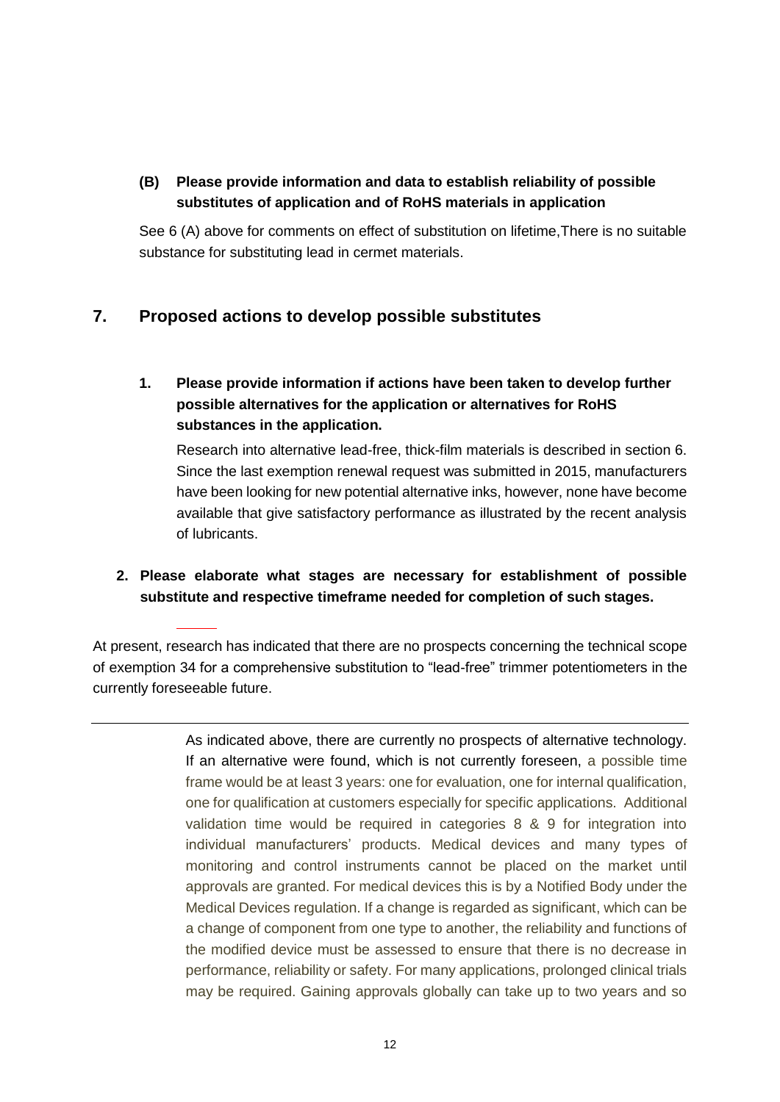## **(B) Please provide information and data to establish reliability of possible substitutes of application and of RoHS materials in application**

See 6 (A) above for comments on effect of substitution on lifetime,There is no suitable substance for substituting lead in cermet materials.

# **7. Proposed actions to develop possible substitutes**

**1. Please provide information if actions have been taken to develop further possible alternatives for the application or alternatives for RoHS substances in the application.** 

Research into alternative lead-free, thick-film materials is described in section 6. Since the last exemption renewal request was submitted in 2015, manufacturers have been looking for new potential alternative inks, however, none have become available that give satisfactory performance as illustrated by the recent analysis of lubricants.

## **2. Please elaborate what stages are necessary for establishment of possible substitute and respective timeframe needed for completion of such stages.**

At present, research has indicated that there are no prospects concerning the technical scope of exemption 34 for a comprehensive substitution to "lead-free" trimmer potentiometers in the currently foreseeable future.

> As indicated above, there are currently no prospects of alternative technology. If an alternative were found, which is not currently foreseen, a possible time frame would be at least 3 years: one for evaluation, one for internal qualification, one for qualification at customers especially for specific applications. Additional validation time would be required in categories 8 & 9 for integration into individual manufacturers' products. Medical devices and many types of monitoring and control instruments cannot be placed on the market until approvals are granted. For medical devices this is by a Notified Body under the Medical Devices regulation. If a change is regarded as significant, which can be a change of component from one type to another, the reliability and functions of the modified device must be assessed to ensure that there is no decrease in performance, reliability or safety. For many applications, prolonged clinical trials may be required. Gaining approvals globally can take up to two years and so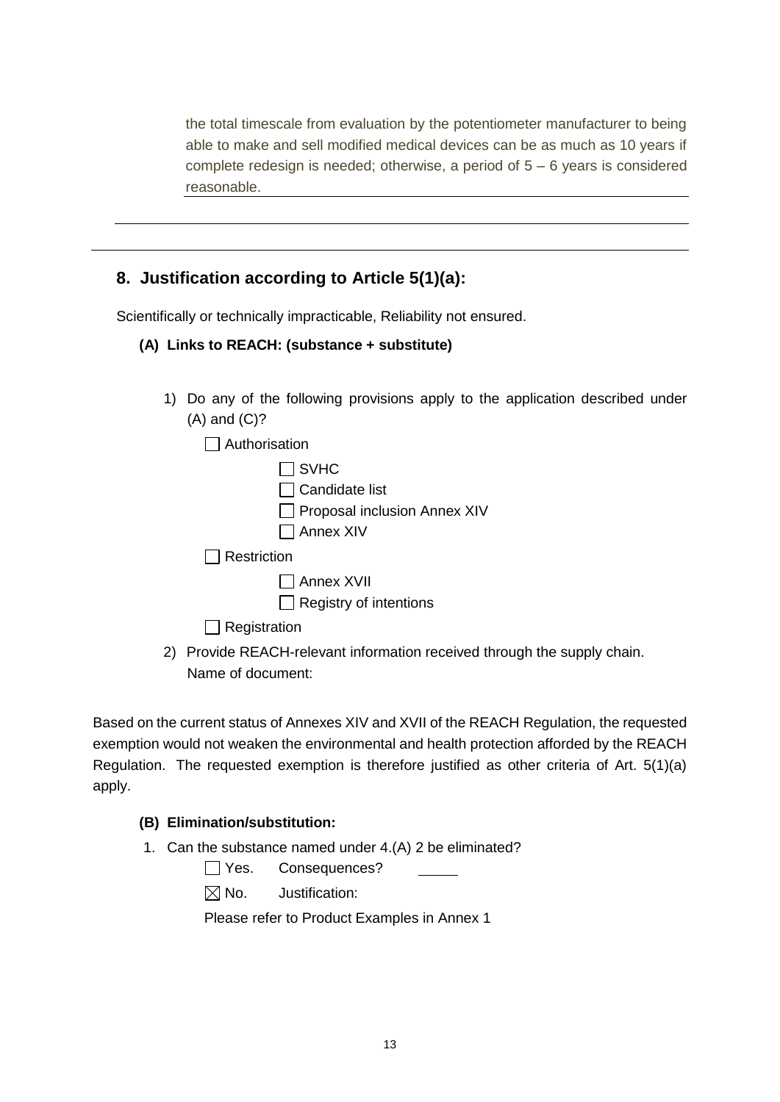the total timescale from evaluation by the potentiometer manufacturer to being able to make and sell modified medical devices can be as much as 10 years if complete redesign is needed; otherwise, a period of 5 – 6 years is considered reasonable.

# **8. Justification according to Article 5(1)(a):**

Scientifically or technically impracticable, Reliability not ensured.

#### **(A) Links to REACH: (substance + substitute)**

1) Do any of the following provisions apply to the application described under (A) and (C)?

|     | Authorisation                       |
|-----|-------------------------------------|
|     | $\Box$ SVHC                         |
|     | Candidate list                      |
|     | $\Box$ Proposal inclusion Annex XIV |
|     | Annex XIV                           |
|     | Restriction                         |
|     | □ Annex XVII                        |
|     | $\Box$ Registry of intentions       |
|     | Registration                        |
| ¬ \ |                                     |

2) Provide REACH-relevant information received through the supply chain. Name of document:

Based on the current status of Annexes XIV and XVII of the REACH Regulation, the requested exemption would not weaken the environmental and health protection afforded by the REACH Regulation. The requested exemption is therefore justified as other criteria of Art. 5(1)(a) apply.

#### **(B) Elimination/substitution:**

1. Can the substance named under 4.(A) 2 be eliminated?

Yes. Consequences?

 $\boxtimes$  No. Justification:

Please refer to Product Examples in Annex 1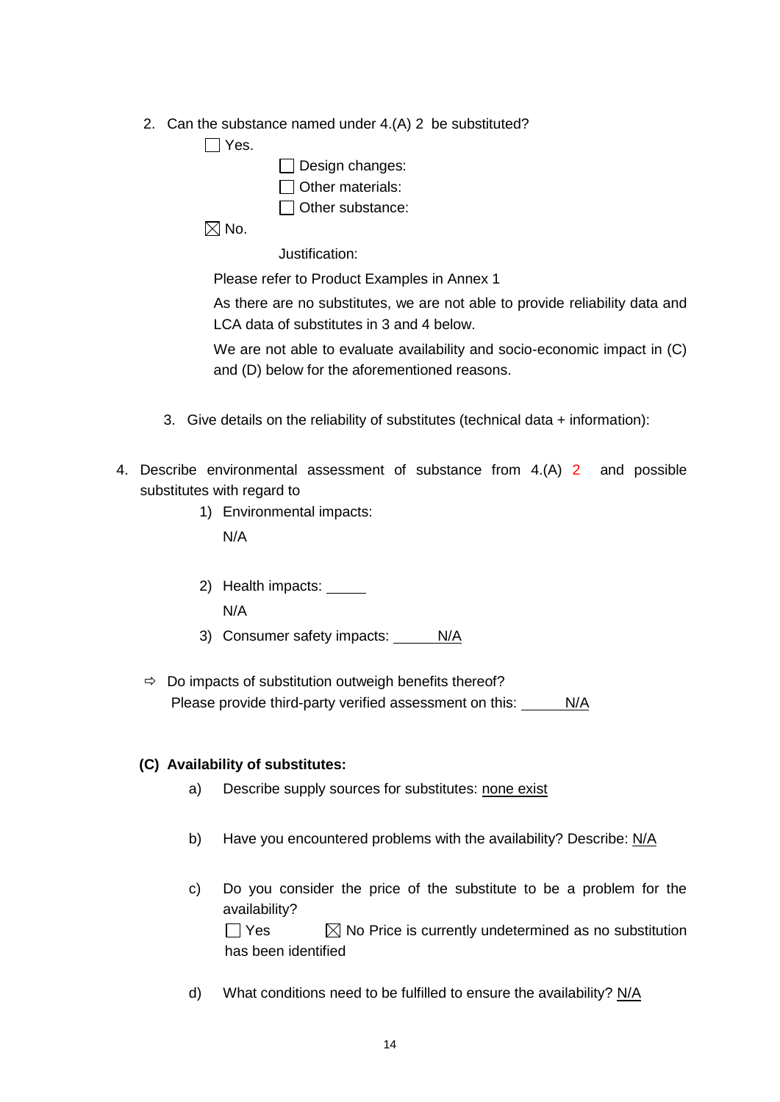2. Can the substance named under 4.(A) 2 be substituted?

|--|

| $\Box$ Design changes:  |
|-------------------------|
| $\Box$ Other materials: |

Other substance:

 $\boxtimes$  No.

Justification:

Please refer to Product Examples in Annex 1

As there are no substitutes, we are not able to provide reliability data and LCA data of substitutes in 3 and 4 below.

We are not able to evaluate availability and socio-economic impact in (C) and (D) below for the aforementioned reasons.

- 3. Give details on the reliability of substitutes (technical data + information):
- 4. Describe environmental assessment of substance from 4.(A) 2 and possible substitutes with regard to
	- 1) Environmental impacts:

N/A

- 2) Health impacts: N/A
- 3) Consumer safety impacts: N/A
- $\Rightarrow$  Do impacts of substitution outweigh benefits thereof? Please provide third-party verified assessment on this: N/A

#### **(C) Availability of substitutes:**

- a) Describe supply sources for substitutes: none exist
- b) Have you encountered problems with the availability? Describe: N/A
- c) Do you consider the price of the substitute to be a problem for the availability?  $\Box$  Yes  $\Box$  No Price is currently undetermined as no substitution has been identified
- d) What conditions need to be fulfilled to ensure the availability? N/A